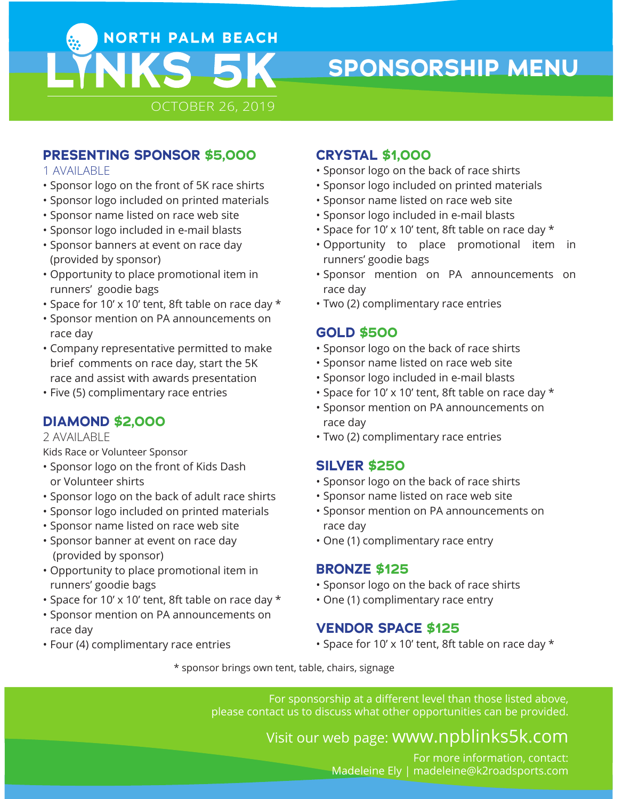

# **SPONSORSHIP MENU**

## **PRESENTING SPONSOR \$5,000**

#### 1 AVAILABLE

- Sponsor logo on the front of 5K race shirts
- Sponsor logo included on printed materials
- Sponsor name listed on race web site
- Sponsor logo included in e-mail blasts
- Sponsor banners at event on race day (provided by sponsor)
- Opportunity to place promotional item in runners' goodie bags
- Space for 10' x 10' tent, 8ft table on race day \*
- Sponsor mention on PA announcements on race day
- Company representative permitted to make brief comments on race day, start the 5K race and assist with awards presentation
- Five (5) complimentary race entries

# **DIAMOND \$2,000**

#### 2 AVAILABLE

Kids Race or Volunteer Sponsor

- Sponsor logo on the front of Kids Dash or Volunteer shirts
- Sponsor logo on the back of adult race shirts
- Sponsor logo included on printed materials
- Sponsor name listed on race web site
- Sponsor banner at event on race day (provided by sponsor)
- Opportunity to place promotional item in runners' goodie bags
- Space for 10' x 10' tent, 8ft table on race day \*
- Sponsor mention on PA announcements on race day
- Four (4) complimentary race entries

# **CRYSTAL \$1,000**

- Sponsor logo on the back of race shirts
- Sponsor logo included on printed materials
- Sponsor name listed on race web site
- Sponsor logo included in e-mail blasts
- Space for 10' x 10' tent, 8ft table on race day \*
- Opportunity to place promotional item in runners' goodie bags
- Sponsor mention on PA announcements on race day
- Two (2) complimentary race entries

### **GOLD \$500**

- Sponsor logo on the back of race shirts
- Sponsor name listed on race web site
- Sponsor logo included in e-mail blasts
- Space for 10' x 10' tent, 8ft table on race day \*
- Sponsor mention on PA announcements on race day
- Two (2) complimentary race entries

#### **SILVER \$250**

- Sponsor logo on the back of race shirts
- Sponsor name listed on race web site
- Sponsor mention on PA announcements on race day
- One (1) complimentary race entry

#### **BRONZE \$125**

- Sponsor logo on the back of race shirts
- One (1) complimentary race entry

#### **VENDOR SPACE \$125**

• Space for 10' x 10' tent, 8ft table on race day \*

\* sponsor brings own tent, table, chairs, signage

For sponsorship at a different level than those listed above, please contact us to discuss what other opportunities can be provided.

# Visit our web page: www.npblinks5k.com

For more information, contact: Madeleine Ely | madeleine@k2roadsports.com